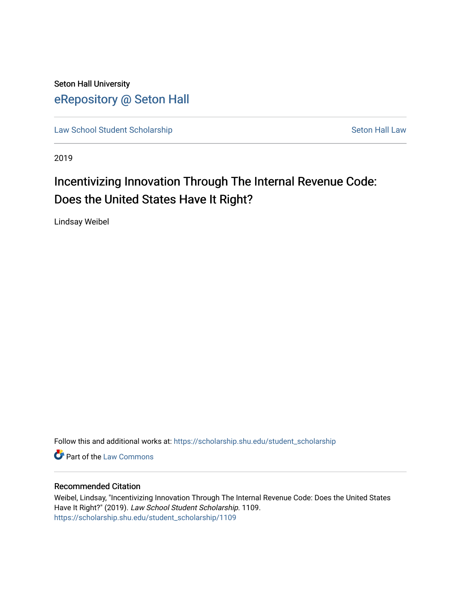Seton Hall University [eRepository @ Seton Hall](https://scholarship.shu.edu/)

[Law School Student Scholarship](https://scholarship.shu.edu/student_scholarship) Seton Hall Law

2019

# Incentivizing Innovation Through The Internal Revenue Code: Does the United States Have It Right?

Lindsay Weibel

Follow this and additional works at: [https://scholarship.shu.edu/student\\_scholarship](https://scholarship.shu.edu/student_scholarship?utm_source=scholarship.shu.edu%2Fstudent_scholarship%2F1109&utm_medium=PDF&utm_campaign=PDFCoverPages) 

**Part of the [Law Commons](http://network.bepress.com/hgg/discipline/578?utm_source=scholarship.shu.edu%2Fstudent_scholarship%2F1109&utm_medium=PDF&utm_campaign=PDFCoverPages)** 

## Recommended Citation

Weibel, Lindsay, "Incentivizing Innovation Through The Internal Revenue Code: Does the United States Have It Right?" (2019). Law School Student Scholarship. 1109. [https://scholarship.shu.edu/student\\_scholarship/1109](https://scholarship.shu.edu/student_scholarship/1109?utm_source=scholarship.shu.edu%2Fstudent_scholarship%2F1109&utm_medium=PDF&utm_campaign=PDFCoverPages)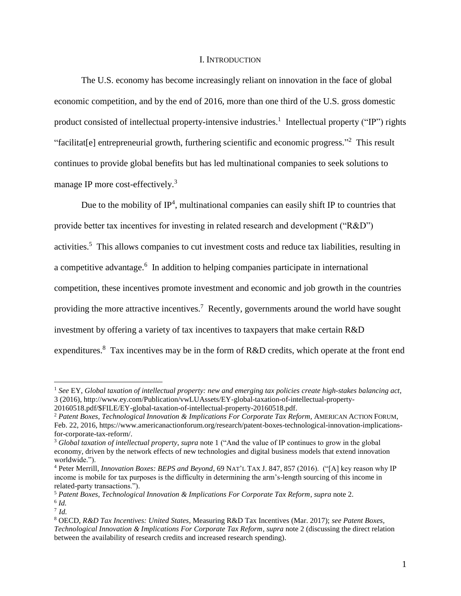## I. INTRODUCTION

The U.S. economy has become increasingly reliant on innovation in the face of global economic competition, and by the end of 2016, more than one third of the U.S. gross domestic product consisted of intellectual property-intensive industries.<sup>1</sup> Intellectual property ("IP") rights "facilitat[e] entrepreneurial growth, furthering scientific and economic progress."<sup>2</sup> This result continues to provide global benefits but has led multinational companies to seek solutions to manage IP more cost-effectively.<sup>3</sup>

Due to the mobility of  $IP<sup>4</sup>$ , multinational companies can easily shift IP to countries that provide better tax incentives for investing in related research and development ("R&D") activities.<sup>5</sup> This allows companies to cut investment costs and reduce tax liabilities, resulting in a competitive advantage. 6 In addition to helping companies participate in international competition, these incentives promote investment and economic and job growth in the countries providing the more attractive incentives.<sup>7</sup> Recently, governments around the world have sought investment by offering a variety of tax incentives to taxpayers that make certain R&D expenditures.<sup>8</sup> Tax incentives may be in the form of R&D credits, which operate at the front end

<sup>1</sup> *See* EY, *Global taxation of intellectual property: new and emerging tax policies create high-stakes balancing act*, 3 (2016), http://www.ey.com/Publication/vwLUAssets/EY-global-taxation-of-intellectual-property-

<sup>20160518.</sup>pdf/\$FILE/EY-global-taxation-of-intellectual-property-20160518.pdf.

<sup>2</sup> *Patent Boxes, Technological Innovation & Implications For Corporate Tax Reform*, AMERICAN ACTION FORUM, Feb. 22, 2016, https://www.americanactionforum.org/research/patent-boxes-technological-innovation-implicationsfor-corporate-tax-reform/.

<sup>3</sup> *Global taxation of intellectual property*, *supra* note 1 ("And the value of IP continues to grow in the global economy, driven by the network effects of new technologies and digital business models that extend innovation worldwide.").

<sup>4</sup> Peter Merrill, *Innovation Boxes: BEPS and Beyond*, 69 NAT'L TAX J. 847, 857 (2016). ("[A] key reason why IP income is mobile for tax purposes is the difficulty in determining the arm's-length sourcing of this income in related-party transactions.").

<sup>5</sup> *Patent Boxes, Technological Innovation & Implications For Corporate Tax Reform*, *supra* note 2. 6 *Id.*

<sup>7</sup> *Id.*

<sup>8</sup> OECD, *R&D Tax Incentives: United States*, Measuring R&D Tax Incentives (Mar. 2017); *see Patent Boxes, Technological Innovation & Implications For Corporate Tax Reform*, *supra* note 2 (discussing the direct relation between the availability of research credits and increased research spending).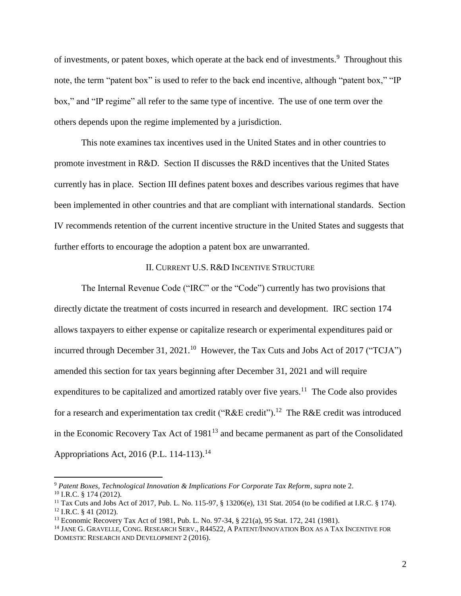of investments, or patent boxes, which operate at the back end of investments.<sup>9</sup> Throughout this note, the term "patent box" is used to refer to the back end incentive, although "patent box," "IP box," and "IP regime" all refer to the same type of incentive. The use of one term over the others depends upon the regime implemented by a jurisdiction.

This note examines tax incentives used in the United States and in other countries to promote investment in R&D. Section II discusses the R&D incentives that the United States currently has in place. Section III defines patent boxes and describes various regimes that have been implemented in other countries and that are compliant with international standards. Section IV recommends retention of the current incentive structure in the United States and suggests that further efforts to encourage the adoption a patent box are unwarranted.

## II. CURRENT U.S. R&D INCENTIVE STRUCTURE

The Internal Revenue Code ("IRC" or the "Code") currently has two provisions that directly dictate the treatment of costs incurred in research and development. IRC section 174 allows taxpayers to either expense or capitalize research or experimental expenditures paid or incurred through December 31, 2021.<sup>10</sup> However, the Tax Cuts and Jobs Act of 2017 ("TCJA") amended this section for tax years beginning after December 31, 2021 and will require expenditures to be capitalized and amortized ratably over five years.<sup>11</sup> The Code also provides for a research and experimentation tax credit ("R&E credit").<sup>12</sup> The R&E credit was introduced in the Economic Recovery Tax Act of  $1981<sup>13</sup>$  and became permanent as part of the Consolidated Appropriations Act, 2016 (P.L. 114-113).<sup>14</sup>

<sup>9</sup> *Patent Boxes, Technological Innovation & Implications For Corporate Tax Reform*, *supra* note 2.

<sup>10</sup> I.R.C. § 174 (2012).

<sup>11</sup> Tax Cuts and Jobs Act of 2017, Pub. L. No. 115-97, § 13206(e), 131 Stat. 2054 (to be codified at I.R.C. § 174).  $12$  I.R.C. § 41 (2012).

<sup>13</sup> Economic Recovery Tax Act of 1981, Pub. L. No. 97-34, § 221(a), 95 Stat. 172, 241 (1981).

<sup>&</sup>lt;sup>14</sup> JANE G. GRAVELLE, CONG. RESEARCH SERV., R44522, A PATENT/INNOVATION BOX AS A TAX INCENTIVE FOR DOMESTIC RESEARCH AND DEVELOPMENT 2 (2016).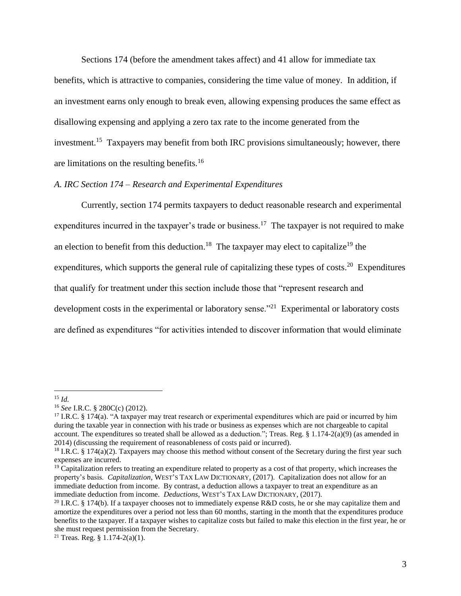Sections 174 (before the amendment takes affect) and 41 allow for immediate tax benefits, which is attractive to companies, considering the time value of money. In addition, if an investment earns only enough to break even, allowing expensing produces the same effect as disallowing expensing and applying a zero tax rate to the income generated from the investment.<sup>15</sup> Taxpayers may benefit from both IRC provisions simultaneously; however, there are limitations on the resulting benefits.<sup>16</sup>

## *A. IRC Section 174 – Research and Experimental Expenditures*

Currently, section 174 permits taxpayers to deduct reasonable research and experimental expenditures incurred in the taxpayer's trade or business.<sup>17</sup> The taxpayer is not required to make an election to benefit from this deduction.<sup>18</sup> The taxpayer may elect to capitalize<sup>19</sup> the expenditures, which supports the general rule of capitalizing these types of costs.<sup>20</sup> Expenditures that qualify for treatment under this section include those that "represent research and development costs in the experimental or laboratory sense."<sup>21</sup> Experimental or laboratory costs are defined as expenditures "for activities intended to discover information that would eliminate

<sup>15</sup> *Id.*

<sup>16</sup> *See* I.R.C. § 280C(c) (2012).

<sup>&</sup>lt;sup>17</sup> I.R.C. § 174(a). "A taxpayer may treat research or experimental expenditures which are paid or incurred by him during the taxable year in connection with his trade or business as expenses which are not chargeable to capital account. The expenditures so treated shall be allowed as a deduction."; Treas. Reg. § 1.174-2(a)(9) (as amended in 2014) (discussing the requirement of reasonableness of costs paid or incurred).

<sup>&</sup>lt;sup>18</sup> I.R.C. § 174(a)(2). Taxpayers may choose this method without consent of the Secretary during the first year such expenses are incurred.

 $19$  Capitalization refers to treating an expenditure related to property as a cost of that property, which increases the property's basis. *Capitalization*, WEST'S TAX LAW DICTIONARY, (2017). Capitalization does not allow for an immediate deduction from income. By contrast, a deduction allows a taxpayer to treat an expenditure as an immediate deduction from income. *Deductions*, WEST'S TAX LAW DICTIONARY, (2017).

<sup>&</sup>lt;sup>20</sup> I.R.C. § 174(b). If a taxpayer chooses not to immediately expense R&D costs, he or she may capitalize them and amortize the expenditures over a period not less than 60 months, starting in the month that the expenditures produce benefits to the taxpayer. If a taxpayer wishes to capitalize costs but failed to make this election in the first year, he or she must request permission from the Secretary.

<sup>&</sup>lt;sup>21</sup> Treas. Reg.  $§ 1.174-2(a)(1)$ .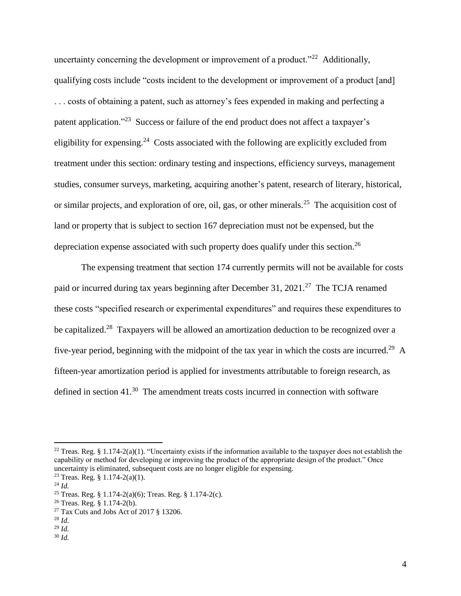uncertainty concerning the development or improvement of a product."<sup>22</sup> Additionally, qualifying costs include "costs incident to the development or improvement of a product [and] . . . costs of obtaining a patent, such as attorney's fees expended in making and perfecting a patent application."<sup>23</sup> Success or failure of the end product does not affect a taxpayer's eligibility for expensing.<sup>24</sup> Costs associated with the following are explicitly excluded from treatment under this section: ordinary testing and inspections, efficiency surveys, management studies, consumer surveys, marketing, acquiring another's patent, research of literary, historical, or similar projects, and exploration of ore, oil, gas, or other minerals.<sup>25</sup> The acquisition cost of land or property that is subject to section 167 depreciation must not be expensed, but the depreciation expense associated with such property does qualify under this section.<sup>26</sup>

The expensing treatment that section 174 currently permits will not be available for costs paid or incurred during tax years beginning after December 31, 2021.<sup>27</sup> The TCJA renamed these costs "specified research or experimental expenditures" and requires these expenditures to be capitalized.<sup>28</sup> Taxpayers will be allowed an amortization deduction to be recognized over a five-year period, beginning with the midpoint of the tax year in which the costs are incurred.<sup>29</sup> A fifteen-year amortization period is applied for investments attributable to foreign research, as defined in section  $41.^{30}$  The amendment treats costs incurred in connection with software

<sup>&</sup>lt;sup>22</sup> Treas. Reg. § 1.174-2(a)(1). "Uncertainty exists if the information available to the taxpayer does not establish the capability or method for developing or improving the product of the appropriate design of the product." Once uncertainty is eliminated, subsequent costs are no longer eligible for expensing.

<sup>&</sup>lt;sup>23</sup> Treas. Reg. § 1.174-2(a)(1).

<sup>24</sup> *Id.*

<sup>25</sup> Treas. Reg. § 1.174-2(a)(6); Treas. Reg. § 1.174-2(c).

<sup>26</sup> Treas. Reg. § 1.174-2(b).

<sup>&</sup>lt;sup>27</sup> Tax Cuts and Jobs Act of 2017 § 13206.

<sup>28</sup> *Id.*

<sup>29</sup> *Id.*

<sup>30</sup> *Id.*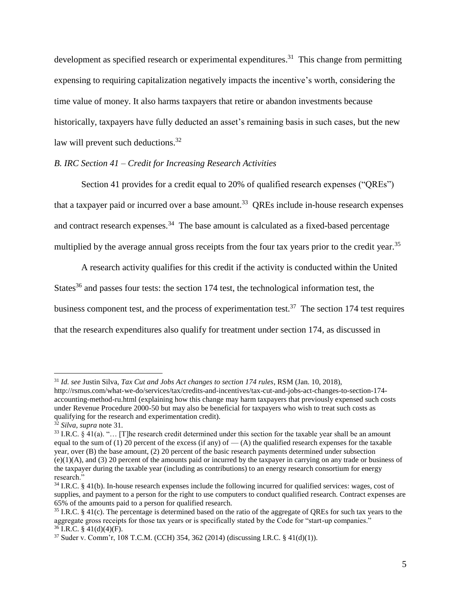development as specified research or experimental expenditures.<sup>31</sup> This change from permitting expensing to requiring capitalization negatively impacts the incentive's worth, considering the time value of money. It also harms taxpayers that retire or abandon investments because historically, taxpayers have fully deducted an asset's remaining basis in such cases, but the new law will prevent such deductions.<sup>32</sup>

## *B. IRC Section 41 – Credit for Increasing Research Activities*

Section 41 provides for a credit equal to 20% of qualified research expenses ("QREs") that a taxpayer paid or incurred over a base amount.<sup>33</sup> QREs include in-house research expenses and contract research expenses.<sup>34</sup> The base amount is calculated as a fixed-based percentage multiplied by the average annual gross receipts from the four tax years prior to the credit year.<sup>35</sup>

A research activity qualifies for this credit if the activity is conducted within the United States<sup>36</sup> and passes four tests: the section 174 test, the technological information test, the business component test, and the process of experimentation test.<sup>37</sup> The section 174 test requires that the research expenditures also qualify for treatment under section 174, as discussed in

<sup>31</sup> *Id. see* Justin Silva, *Tax Cut and Jobs Act changes to section 174 rules*, RSM (Jan. 10, 2018),

http://rsmus.com/what-we-do/services/tax/credits-and-incentives/tax-cut-and-jobs-act-changes-to-section-174 accounting-method-ru.html (explaining how this change may harm taxpayers that previously expensed such costs under Revenue Procedure 2000-50 but may also be beneficial for taxpayers who wish to treat such costs as qualifying for the research and experimentation credit).

<sup>32</sup> *Silva*, *supra* note 31.

 $33$  I.R.C. § 41(a). "... [T]he research credit determined under this section for the taxable year shall be an amount equal to the sum of (1) 20 percent of the excess (if any) of  $-$  (A) the qualified research expenses for the taxable year, over (B) the base amount, (2) 20 percent of the basic research payments determined under subsection  $(e)(1)(A)$ , and (3) 20 percent of the amounts paid or incurred by the taxpayer in carrying on any trade or business of the taxpayer during the taxable year (including as contributions) to an energy research consortium for energy research."

 $34$  I.R.C. § 41(b). In-house research expenses include the following incurred for qualified services: wages, cost of supplies, and payment to a person for the right to use computers to conduct qualified research. Contract expenses are 65% of the amounts paid to a person for qualified research.

<sup>&</sup>lt;sup>35</sup> I.R.C. § 41(c). The percentage is determined based on the ratio of the aggregate of OREs for such tax years to the aggregate gross receipts for those tax years or is specifically stated by the Code for "start-up companies."  $36$  I.R.C. § 41(d)(4)(F).

<sup>37</sup> Suder v. Comm'r, 108 T.C.M. (CCH) 354, 362 (2014) (discussing I.R.C. § 41(d)(1)).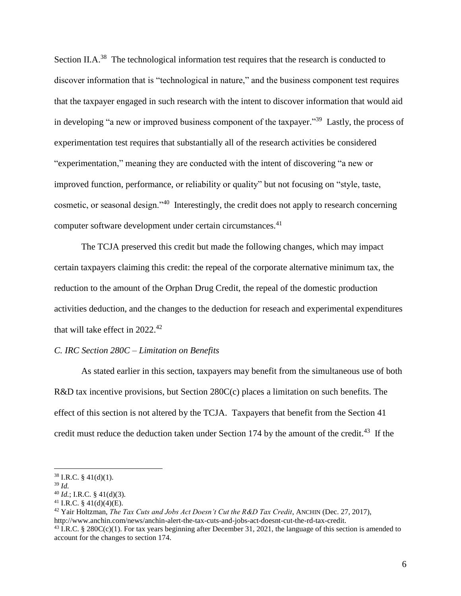Section II.A.<sup>38</sup> The technological information test requires that the research is conducted to discover information that is "technological in nature," and the business component test requires that the taxpayer engaged in such research with the intent to discover information that would aid in developing "a new or improved business component of the taxpayer."<sup>39</sup> Lastly, the process of experimentation test requires that substantially all of the research activities be considered "experimentation," meaning they are conducted with the intent of discovering "a new or improved function, performance, or reliability or quality" but not focusing on "style, taste, cosmetic, or seasonal design."<sup>40</sup> Interestingly, the credit does not apply to research concerning computer software development under certain circumstances.<sup>41</sup>

The TCJA preserved this credit but made the following changes, which may impact certain taxpayers claiming this credit: the repeal of the corporate alternative minimum tax, the reduction to the amount of the Orphan Drug Credit, the repeal of the domestic production activities deduction, and the changes to the deduction for reseach and experimental expenditures that will take effect in 2022. 42

## *C. IRC Section 280C – Limitation on Benefits*

As stated earlier in this section, taxpayers may benefit from the simultaneous use of both R&D tax incentive provisions, but Section 280C(c) places a limitation on such benefits. The effect of this section is not altered by the TCJA. Taxpayers that benefit from the Section 41 credit must reduce the deduction taken under Section 174 by the amount of the credit.<sup>43</sup> If the

 $38$  I.R.C. § 41(d)(1).

<sup>39</sup> *Id.*

 $^{40}$  *Id.*; I.R.C. § 41(d)(3).

<sup>&</sup>lt;sup>41</sup> I.R.C. § 41(d)(4)(E).

<sup>42</sup> Yair Holtzman, *The Tax Cuts and Jobs Act Doesn't Cut the R&D Tax Credit*, ANCHIN (Dec. 27, 2017),

http://www.anchin.com/news/anchin-alert-the-tax-cuts-and-jobs-act-doesnt-cut-the-rd-tax-credit.

<sup>&</sup>lt;sup>43</sup> I.R.C. § 280C(c)(1). For tax years beginning after December 31, 2021, the language of this section is amended to account for the changes to section 174.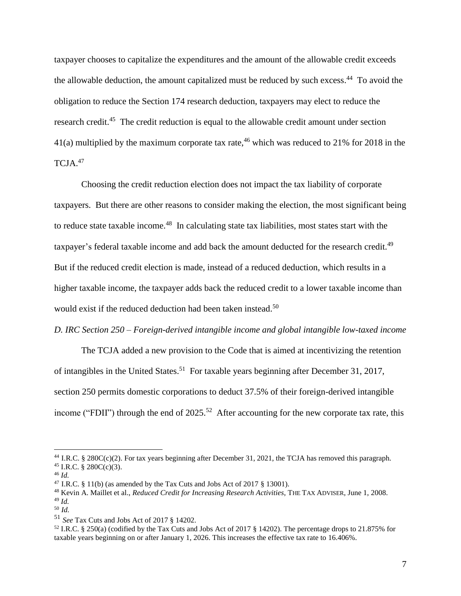taxpayer chooses to capitalize the expenditures and the amount of the allowable credit exceeds the allowable deduction, the amount capitalized must be reduced by such excess.<sup>44</sup> To avoid the obligation to reduce the Section 174 research deduction, taxpayers may elect to reduce the research credit.<sup>45</sup> The credit reduction is equal to the allowable credit amount under section 41(a) multiplied by the maximum corporate tax rate,<sup>46</sup> which was reduced to 21% for 2018 in the TCJA. 47

Choosing the credit reduction election does not impact the tax liability of corporate taxpayers. But there are other reasons to consider making the election, the most significant being to reduce state taxable income.<sup>48</sup> In calculating state tax liabilities, most states start with the taxpayer's federal taxable income and add back the amount deducted for the research credit.<sup>49</sup> But if the reduced credit election is made, instead of a reduced deduction, which results in a higher taxable income, the taxpayer adds back the reduced credit to a lower taxable income than would exist if the reduced deduction had been taken instead. 50

## *D. IRC Section 250 – Foreign-derived intangible income and global intangible low-taxed income*

The TCJA added a new provision to the Code that is aimed at incentivizing the retention of intangibles in the United States.<sup>51</sup> For taxable years beginning after December 31, 2017, section 250 permits domestic corporations to deduct 37.5% of their foreign-derived intangible income ("FDII") through the end of  $2025$ .<sup>52</sup> After accounting for the new corporate tax rate, this

<sup>44</sup> I.R.C. § 280C(c)(2). For tax years beginning after December 31, 2021, the TCJA has removed this paragraph.  $45$  I.R.C. § 280C(c)(3).

<sup>46</sup> *Id.*

<sup>&</sup>lt;sup>47</sup> I.R.C. § 11(b) (as amended by the Tax Cuts and Jobs Act of 2017 § 13001).

<sup>48</sup> Kevin A. Maillet et al., *Reduced Credit for Increasing Research Activities*, THE TAX ADVISER, June 1, 2008. <sup>49</sup> *Id.*

<sup>50</sup> *Id.*

<sup>51</sup> *See* Tax Cuts and Jobs Act of 2017 § 14202.

<sup>52</sup> I.R.C. § 250(a) (codified by the Tax Cuts and Jobs Act of 2017 § 14202). The percentage drops to 21.875% for taxable years beginning on or after January 1, 2026. This increases the effective tax rate to 16.406%.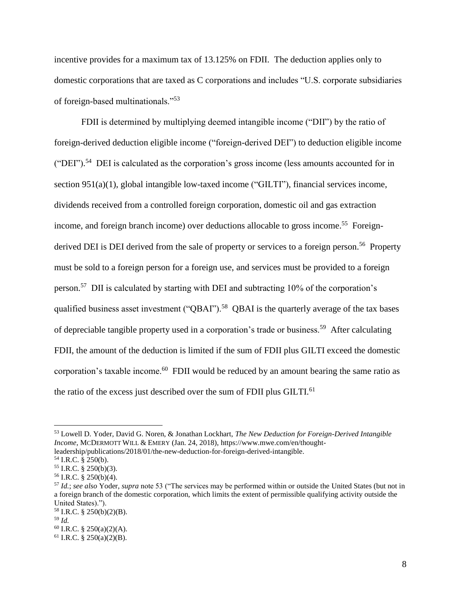incentive provides for a maximum tax of 13.125% on FDII. The deduction applies only to domestic corporations that are taxed as C corporations and includes "U.S. corporate subsidiaries of foreign-based multinationals."<sup>53</sup>

FDII is determined by multiplying deemed intangible income ("DII") by the ratio of foreign-derived deduction eligible income ("foreign-derived DEI") to deduction eligible income  $("DEI").$ <sup>54</sup> DEI is calculated as the corporation's gross income (less amounts accounted for in section 951(a)(1), global intangible low-taxed income ("GILTI"), financial services income, dividends received from a controlled foreign corporation, domestic oil and gas extraction income, and foreign branch income) over deductions allocable to gross income.<sup>55</sup> Foreignderived DEI is DEI derived from the sale of property or services to a foreign person.<sup>56</sup> Property must be sold to a foreign person for a foreign use, and services must be provided to a foreign person.<sup>57</sup> DII is calculated by starting with DEI and subtracting 10% of the corporation's qualified business asset investment ("QBAI").<sup>58</sup> QBAI is the quarterly average of the tax bases of depreciable tangible property used in a corporation's trade or business.<sup>59</sup> After calculating FDII, the amount of the deduction is limited if the sum of FDII plus GILTI exceed the domestic corporation's taxable income. $60$  FDII would be reduced by an amount bearing the same ratio as the ratio of the excess just described over the sum of FDII plus GILTI.<sup>61</sup>

<sup>53</sup> Lowell D. Yoder, David G. Noren, & Jonathan Lockhart, *The New Deduction for Foreign-Derived Intangible Income*, MCDERMOTT WILL & EMERY (Jan. 24, 2018), https://www.mwe.com/en/thoughtleadership/publications/2018/01/the-new-deduction-for-foreign-derived-intangible.

<sup>54</sup> I.R.C. § 250(b).

 $55$  I.R.C. § 250(b)(3).

<sup>56</sup> I.R.C. § 250(b)(4).

<sup>57</sup> *Id.*; *see also* Yoder, *supra* note 53 ("The services may be performed within or outside the United States (but not in a foreign branch of the domestic corporation, which limits the extent of permissible qualifying activity outside the United States).").

 $58$  I.R.C. § 250(b)(2)(B).

<sup>59</sup> *Id.*

 $60$  I.R.C. § 250(a)(2)(A).

 $61$  I.R.C. § 250(a)(2)(B).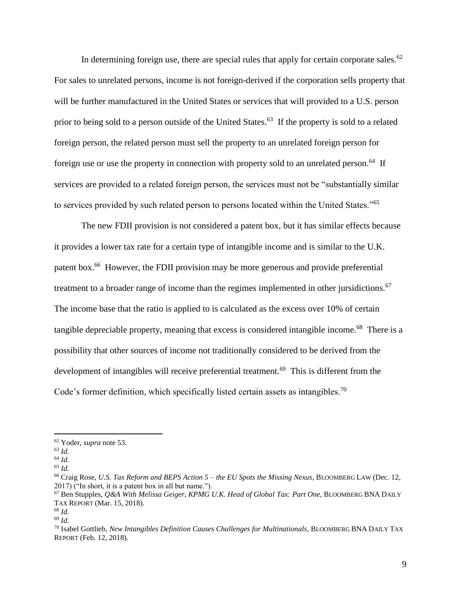In determining foreign use, there are special rules that apply for certain corporate sales.<sup>62</sup> For sales to unrelated persons, income is not foreign-derived if the corporation sells property that will be further manufactured in the United States or services that will provided to a U.S. person prior to being sold to a person outside of the United States.<sup>63</sup> If the property is sold to a related foreign person, the related person must sell the property to an unrelated foreign person for foreign use or use the property in connection with property sold to an unrelated person.<sup>64</sup> If services are provided to a related foreign person, the services must not be "substantially similar to services provided by such related person to persons located within the United States."<sup>65</sup>

The new FDII provision is not considered a patent box, but it has similar effects because it provides a lower tax rate for a certain type of intangible income and is similar to the U.K. patent box.<sup>66</sup> However, the FDII provision may be more generous and provide preferential treatment to a broader range of income than the regimes implemented in other jursidictions.<sup>67</sup> The income base that the ratio is applied to is calculated as the excess over 10% of certain tangible depreciable property, meaning that excess is considered intangible income.<sup>68</sup> There is a possibility that other sources of income not traditionally considered to be derived from the development of intangibles will receive preferential treatment.<sup>69</sup> This is different from the Code's former definition, which specifically listed certain assets as intangibles.<sup>70</sup>

<sup>62</sup> Yoder, *supra* note 53.

<sup>63</sup> *Id.*

<sup>64</sup> *Id.*

<sup>65</sup> *Id.*

<sup>66</sup> Craig Rose, *U.S. Tax Reform and BEPS Action 5 – the EU Spots the Missing Nexus*, BLOOMBERG LAW (Dec. 12, 2017) ("In short, it is a patent box in all but name.").

<sup>67</sup> Ben Stupples, *Q&A With Melissa Geiger, KPMG U.K. Head of Global Tax: Part One*, BLOOMBERG BNA DAILY TAX REPORT (Mar. 15, 2018).

<sup>68</sup> *Id.* <sup>69</sup> *Id.*

<sup>70</sup> Isabel Gottlieb, *New Intangibles Definition Causes Challenges for Multinationals*, BLOOMBERG BNA DAILY TAX REPORT (Feb. 12, 2018).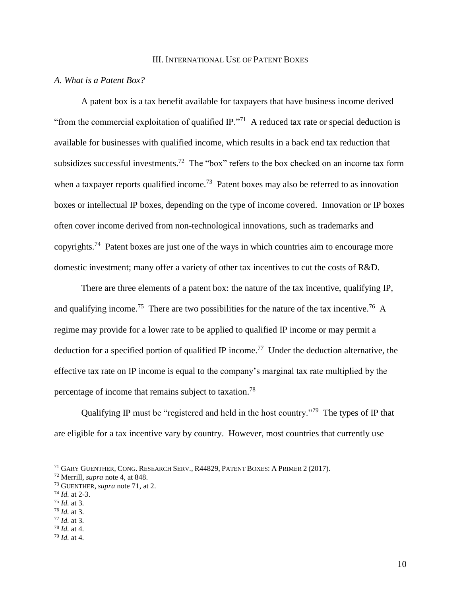### III. INTERNATIONAL USE OF PATENT BOXES

## *A. What is a Patent Box?*

A patent box is a tax benefit available for taxpayers that have business income derived "from the commercial exploitation of qualified  $IP.^{771}$  A reduced tax rate or special deduction is available for businesses with qualified income, which results in a back end tax reduction that subsidizes successful investments.<sup>72</sup> The "box" refers to the box checked on an income tax form when a taxpayer reports qualified income.<sup>73</sup> Patent boxes may also be referred to as innovation boxes or intellectual IP boxes, depending on the type of income covered. Innovation or IP boxes often cover income derived from non-technological innovations, such as trademarks and copyrights.<sup>74</sup> Patent boxes are just one of the ways in which countries aim to encourage more domestic investment; many offer a variety of other tax incentives to cut the costs of R&D.

There are three elements of a patent box: the nature of the tax incentive, qualifying IP, and qualifying income.<sup>75</sup> There are two possibilities for the nature of the tax incentive.<sup>76</sup> A regime may provide for a lower rate to be applied to qualified IP income or may permit a deduction for a specified portion of qualified IP income.<sup>77</sup> Under the deduction alternative, the effective tax rate on IP income is equal to the company's marginal tax rate multiplied by the percentage of income that remains subject to taxation.<sup>78</sup>

Qualifying IP must be "registered and held in the host country."<sup>79</sup> The types of IP that are eligible for a tax incentive vary by country. However, most countries that currently use

<sup>&</sup>lt;sup>71</sup> GARY GUENTHER, CONG. RESEARCH SERV., R44829, PATENT BOXES: A PRIMER 2 (2017).

<sup>72</sup> Merrill, *supra* note 4, at 848.

<sup>73</sup> GUENTHER, *supra* note 71, at 2.

<sup>74</sup> *Id.* at 2-3.

<sup>75</sup> *Id.* at 3.

<sup>76</sup> *Id.* at 3.

<sup>77</sup> *Id.* at 3.

<sup>78</sup> *Id.* at 4.

<sup>79</sup> *Id.* at 4.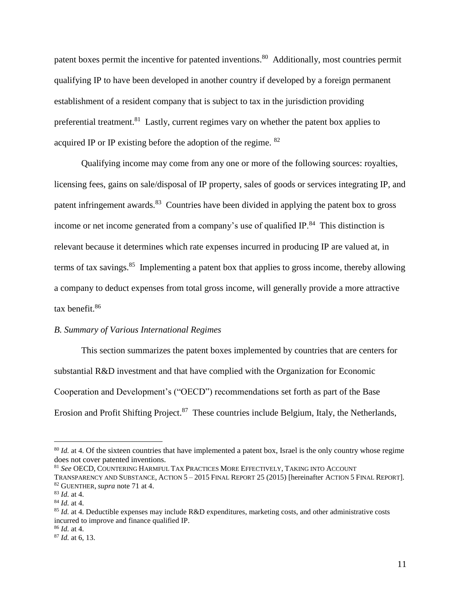patent boxes permit the incentive for patented inventions.<sup>80</sup> Additionally, most countries permit qualifying IP to have been developed in another country if developed by a foreign permanent establishment of a resident company that is subject to tax in the jurisdiction providing preferential treatment.<sup>81</sup> Lastly, current regimes vary on whether the patent box applies to acquired IP or IP existing before the adoption of the regime. <sup>82</sup>

Qualifying income may come from any one or more of the following sources: royalties, licensing fees, gains on sale/disposal of IP property, sales of goods or services integrating IP, and patent infringement awards.<sup>83</sup> Countries have been divided in applying the patent box to gross income or net income generated from a company's use of qualified  $IP.^{84}$ . This distinction is relevant because it determines which rate expenses incurred in producing IP are valued at, in terms of tax savings.<sup>85</sup> Implementing a patent box that applies to gross income, thereby allowing a company to deduct expenses from total gross income, will generally provide a more attractive tax benefit.<sup>86</sup>

## *B. Summary of Various International Regimes*

This section summarizes the patent boxes implemented by countries that are centers for substantial R&D investment and that have complied with the Organization for Economic Cooperation and Development's ("OECD") recommendations set forth as part of the Base Erosion and Profit Shifting Project.<sup>87</sup> These countries include Belgium, Italy, the Netherlands,

<sup>&</sup>lt;sup>80</sup> *Id.* at 4. Of the sixteen countries that have implemented a patent box, Israel is the only country whose regime does not cover patented inventions.

<sup>81</sup> *See* OECD, COUNTERING HARMFUL TAX PRACTICES MORE EFFECTIVELY, TAKING INTO ACCOUNT

TRANSPARENCY AND SUBSTANCE, ACTION 5 – 2015 FINAL REPORT 25 (2015) [hereinafter ACTION 5 FINAL REPORT]. <sup>82</sup> GUENTHER, *supra* note 71 at 4.

<sup>83</sup> *Id.* at 4.

<sup>84</sup> *Id.* at 4.

<sup>85</sup> *Id.* at 4. Deductible expenses may include R&D expenditures, marketing costs, and other administrative costs incurred to improve and finance qualified IP.

<sup>86</sup> *Id.* at 4.

<sup>87</sup> *Id.* at 6, 13.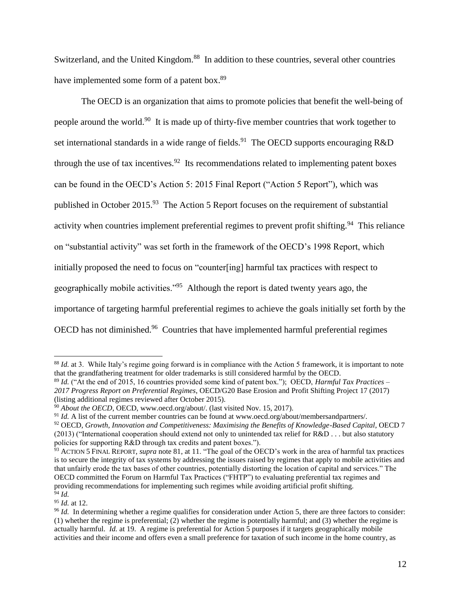Switzerland, and the United Kingdom.<sup>88</sup> In addition to these countries, several other countries have implemented some form of a patent box.<sup>89</sup>

The OECD is an organization that aims to promote policies that benefit the well-being of people around the world.<sup>90</sup> It is made up of thirty-five member countries that work together to set international standards in a wide range of fields.<sup>91</sup> The OECD supports encouraging R&D through the use of tax incentives.<sup>92</sup> Its recommendations related to implementing patent boxes can be found in the OECD's Action 5: 2015 Final Report ("Action 5 Report"), which was published in October 2015.<sup>93</sup> The Action 5 Report focuses on the requirement of substantial activity when countries implement preferential regimes to prevent profit shifting.<sup>94</sup> This reliance on "substantial activity" was set forth in the framework of the OECD's 1998 Report, which initially proposed the need to focus on "counter[ing] harmful tax practices with respect to geographically mobile activities."<sup>95</sup> Although the report is dated twenty years ago, the importance of targeting harmful preferential regimes to achieve the goals initially set forth by the OECD has not diminished.<sup>96</sup> Countries that have implemented harmful preferential regimes

<sup>89</sup> *Id.* ("At the end of 2015, 16 countries provided some kind of patent box."); OECD, *Harmful Tax Practices – 2017 Progress Report on Preferential Regimes*, OECD/G20 Base Erosion and Profit Shifting Project 17 (2017) (listing additional regimes reviewed after October 2015).

<sup>95</sup> *Id.* at 12.

<sup>&</sup>lt;sup>88</sup> *Id.* at 3. While Italy's regime going forward is in compliance with the Action 5 framework, it is important to note that the grandfathering treatment for older trademarks is still considered harmful by the OECD.

<sup>90</sup> *About the OECD*, OECD, www.oecd.org/about/. (last visited Nov. 15, 2017).

<sup>91</sup> *Id.* A list of the current member countries can be found at www.oecd.org/about/membersandpartners/.

<sup>92</sup> OECD, *Growth, Innovation and Competitiveness: Maximising the Benefits of Knowledge-Based Capital*, OECD 7  $(2013)$  ("International cooperation should extend not only to unintended tax relief for R&D . . . but also statutory policies for supporting R&D through tax credits and patent boxes.").

<sup>93</sup> ACTION 5 FINAL REPORT, *supra* note 81, at 11. "The goal of the OECD's work in the area of harmful tax practices is to secure the integrity of tax systems by addressing the issues raised by regimes that apply to mobile activities and that unfairly erode the tax bases of other countries, potentially distorting the location of capital and services." The OECD committed the Forum on Harmful Tax Practices ("FHTP") to evaluating preferential tax regimes and providing recommendations for implementing such regimes while avoiding artificial profit shifting. <sup>94</sup> *Id.*

<sup>&</sup>lt;sup>96</sup> *Id.* In determining whether a regime qualifies for consideration under Action 5, there are three factors to consider: (1) whether the regime is preferential; (2) whether the regime is potentially harmful; and (3) whether the regime is actually harmful. *Id.* at 19. A regime is preferential for Action 5 purposes if it targets geographically mobile activities and their income and offers even a small preference for taxation of such income in the home country, as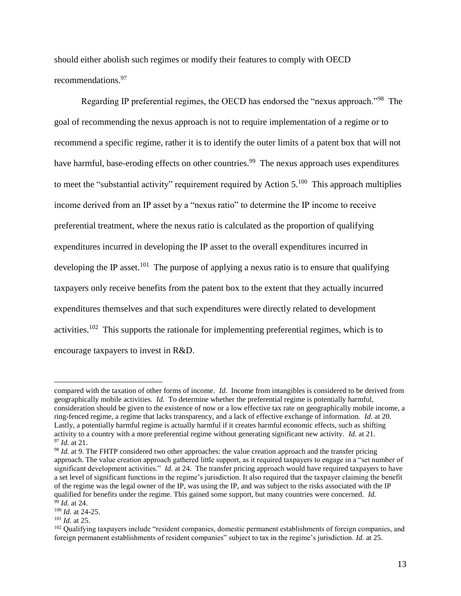should either abolish such regimes or modify their features to comply with OECD recommendations. 97

Regarding IP preferential regimes, the OECD has endorsed the "nexus approach."<sup>98</sup> The goal of recommending the nexus approach is not to require implementation of a regime or to recommend a specific regime, rather it is to identify the outer limits of a patent box that will not have harmful, base-eroding effects on other countries.<sup>99</sup> The nexus approach uses expenditures to meet the "substantial activity" requirement required by Action  $5.^{100}$  This approach multiplies income derived from an IP asset by a "nexus ratio" to determine the IP income to receive preferential treatment, where the nexus ratio is calculated as the proportion of qualifying expenditures incurred in developing the IP asset to the overall expenditures incurred in developing the IP asset.<sup>101</sup> The purpose of applying a nexus ratio is to ensure that qualifying taxpayers only receive benefits from the patent box to the extent that they actually incurred expenditures themselves and that such expenditures were directly related to development activities.<sup>102</sup> This supports the rationale for implementing preferential regimes, which is to encourage taxpayers to invest in R&D.

compared with the taxation of other forms of income. *Id.* Income from intangibles is considered to be derived from geographically mobile activities. *Id.* To determine whether the preferential regime is potentially harmful, consideration should be given to the existence of now or a low effective tax rate on geographically mobile income, a ring-fenced regime, a regime that lacks transparency, and a lack of effective exchange of information. *Id.* at 20. Lastly, a potentially harmful regime is actually harmful if it creates harmful economic effects, such as shifting activity to a country with a more preferential regime without generating significant new activity. *Id.* at 21. <sup>97</sup> *Id.* at 21.

<sup>&</sup>lt;sup>98</sup> *Id.* at 9. The FHTP considered two other approaches: the value creation approach and the transfer pricing approach. The value creation approach gathered little support, as it required taxpayers to engage in a "set number of significant development activities." *Id.* at 24. The transfer pricing approach would have required taxpayers to have a set level of significant functions in the regime's jurisdiction. It also required that the taxpayer claiming the benefit of the regime was the legal owner of the IP, was using the IP, and was subject to the risks associated with the IP qualified for benefits under the regime. This gained some support, but many countries were concerned. *Id.* <sup>99</sup> *Id.* at 24.

<sup>100</sup> *Id.* at 24-25.

<sup>101</sup> *Id.* at 25.

<sup>&</sup>lt;sup>102</sup> Qualifying taxpayers include "resident companies, domestic permanent establishments of foreign companies, and foreign permanent establishments of resident companies" subject to tax in the regime's jurisdiction. *Id.* at 25.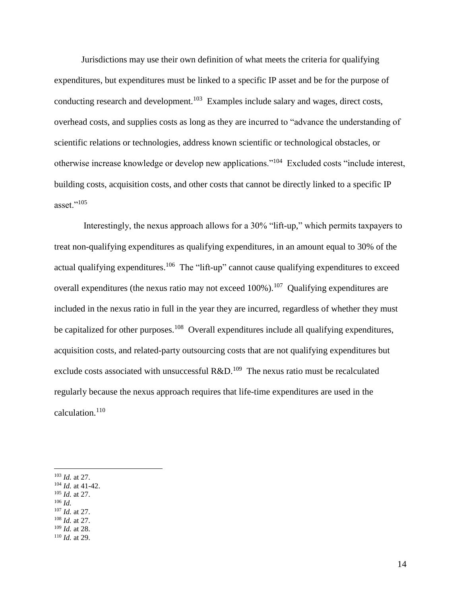Jurisdictions may use their own definition of what meets the criteria for qualifying expenditures, but expenditures must be linked to a specific IP asset and be for the purpose of conducting research and development.<sup>103</sup> Examples include salary and wages, direct costs, overhead costs, and supplies costs as long as they are incurred to "advance the understanding of scientific relations or technologies, address known scientific or technological obstacles, or otherwise increase knowledge or develop new applications."<sup>104</sup> Excluded costs "include interest, building costs, acquisition costs, and other costs that cannot be directly linked to a specific IP asset." $^{105}$ 

Interestingly, the nexus approach allows for a 30% "lift-up," which permits taxpayers to treat non-qualifying expenditures as qualifying expenditures, in an amount equal to 30% of the actual qualifying expenditures.<sup>106</sup> The "lift-up" cannot cause qualifying expenditures to exceed overall expenditures (the nexus ratio may not exceed 100%).<sup>107</sup> Qualifying expenditures are included in the nexus ratio in full in the year they are incurred, regardless of whether they must be capitalized for other purposes.<sup>108</sup> Overall expenditures include all qualifying expenditures, acquisition costs, and related-party outsourcing costs that are not qualifying expenditures but exclude costs associated with unsuccessful  $R&D.<sup>109</sup>$  The nexus ratio must be recalculated regularly because the nexus approach requires that life-time expenditures are used in the calculation.<sup>110</sup>

- <sup>104</sup> *Id.* at 41-42.
- <sup>105</sup> *Id.* at 27.
- <sup>106</sup> *Id.*

- <sup>107</sup> *Id.* at 27. <sup>108</sup> *Id.* at 27.
- <sup>109</sup> *Id.* at 28.
- <sup>110</sup> *Id.* at 29.

<sup>103</sup> *Id.* at 27.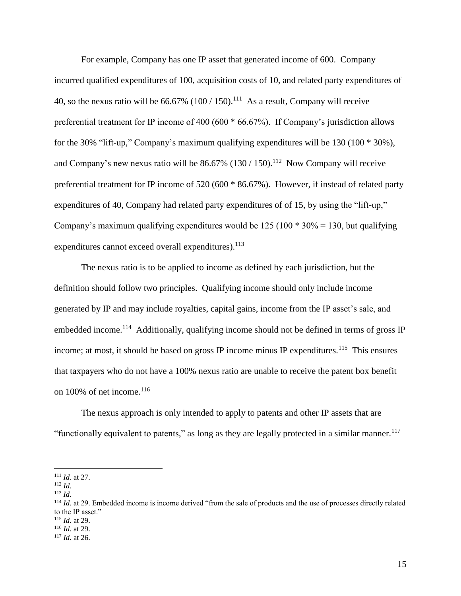For example, Company has one IP asset that generated income of 600. Company incurred qualified expenditures of 100, acquisition costs of 10, and related party expenditures of 40, so the nexus ratio will be  $66.67\%$  (100 / 150).<sup>111</sup> As a result, Company will receive preferential treatment for IP income of 400 (600 \* 66.67%). If Company's jurisdiction allows for the 30% "lift-up," Company's maximum qualifying expenditures will be 130 (100 \* 30%), and Company's new nexus ratio will be  $86.67\%$  (130 / 150).<sup>112</sup> Now Company will receive preferential treatment for IP income of 520 (600 \* 86.67%). However, if instead of related party expenditures of 40, Company had related party expenditures of of 15, by using the "lift-up," Company's maximum qualifying expenditures would be  $125 (100 * 30\% = 130$ , but qualifying expenditures cannot exceed overall expenditures).<sup>113</sup>

The nexus ratio is to be applied to income as defined by each jurisdiction, but the definition should follow two principles. Qualifying income should only include income generated by IP and may include royalties, capital gains, income from the IP asset's sale, and embedded income.<sup>114</sup> Additionally, qualifying income should not be defined in terms of gross IP income; at most, it should be based on gross IP income minus IP expenditures.<sup>115</sup> This ensures that taxpayers who do not have a 100% nexus ratio are unable to receive the patent box benefit on 100% of net income.<sup>116</sup>

The nexus approach is only intended to apply to patents and other IP assets that are "functionally equivalent to patents," as long as they are legally protected in a similar manner.<sup>117</sup>

<sup>111</sup> *Id.* at 27.

<sup>112</sup> *Id.*

<sup>113</sup> *Id.*

 $114$  *Id.* at 29. Embedded income is income derived "from the sale of products and the use of processes directly related to the IP asset."

<sup>115</sup> *Id.* at 29. <sup>116</sup> *Id.* at 29.

<sup>117</sup> *Id.* at 26.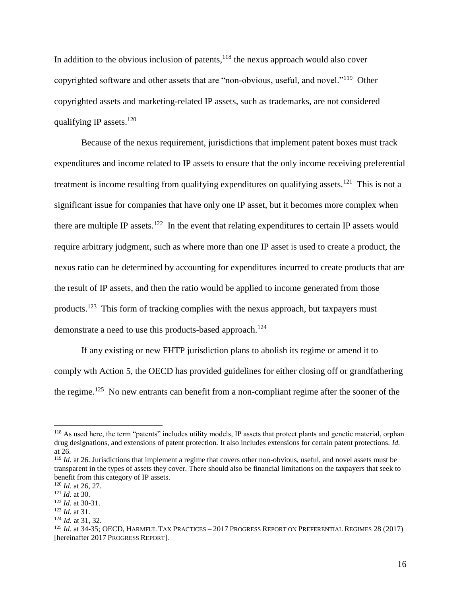In addition to the obvious inclusion of patents, $118$  the nexus approach would also cover copyrighted software and other assets that are "non-obvious, useful, and novel."<sup>119</sup> Other copyrighted assets and marketing-related IP assets, such as trademarks, are not considered qualifying IP assets.<sup>120</sup>

Because of the nexus requirement, jurisdictions that implement patent boxes must track expenditures and income related to IP assets to ensure that the only income receiving preferential treatment is income resulting from qualifying expenditures on qualifying assets.<sup>121</sup> This is not a significant issue for companies that have only one IP asset, but it becomes more complex when there are multiple IP assets.<sup>122</sup> In the event that relating expenditures to certain IP assets would require arbitrary judgment, such as where more than one IP asset is used to create a product, the nexus ratio can be determined by accounting for expenditures incurred to create products that are the result of IP assets, and then the ratio would be applied to income generated from those products.<sup>123</sup> This form of tracking complies with the nexus approach, but taxpayers must demonstrate a need to use this products-based approach.<sup>124</sup>

If any existing or new FHTP jurisdiction plans to abolish its regime or amend it to comply wth Action 5, the OECD has provided guidelines for either closing off or grandfathering the regime.<sup>125</sup> No new entrants can benefit from a non-compliant regime after the sooner of the

<sup>&</sup>lt;sup>118</sup> As used here, the term "patents" includes utility models, IP assets that protect plants and genetic material, orphan drug designations, and extensions of patent protection. It also includes extensions for certain patent protections. *Id.* at 26.

<sup>&</sup>lt;sup>119</sup> *Id.* at 26. Jurisdictions that implement a regime that covers other non-obvious, useful, and novel assets must be transparent in the types of assets they cover. There should also be financial limitations on the taxpayers that seek to benefit from this category of IP assets.

<sup>120</sup> *Id.* at 26, 27.

<sup>121</sup> *Id.* at 30.

<sup>122</sup> *Id.* at 30-31.

<sup>123</sup> *Id.* at 31.

<sup>124</sup> *Id.* at 31, 32.

<sup>125</sup> *Id.* at 34-35; OECD, HARMFUL TAX PRACTICES – 2017 PROGRESS REPORT ON PREFERENTIAL REGIMES 28 (2017) [hereinafter 2017 PROGRESS REPORT].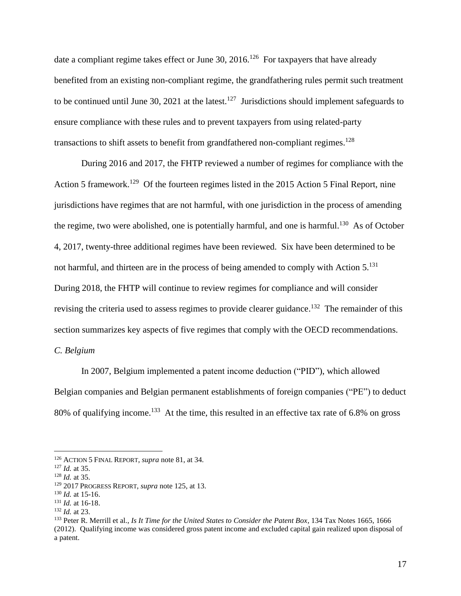date a compliant regime takes effect or June 30, 2016.<sup>126</sup> For taxpayers that have already benefited from an existing non-compliant regime, the grandfathering rules permit such treatment to be continued until June 30, 2021 at the latest.<sup>127</sup> Jurisdictions should implement safeguards to ensure compliance with these rules and to prevent taxpayers from using related-party transactions to shift assets to benefit from grandfathered non-compliant regimes.<sup>128</sup>

During 2016 and 2017, the FHTP reviewed a number of regimes for compliance with the Action 5 framework.<sup>129</sup> Of the fourteen regimes listed in the 2015 Action 5 Final Report, nine jurisdictions have regimes that are not harmful, with one jurisdiction in the process of amending the regime, two were abolished, one is potentially harmful, and one is harmful.<sup>130</sup> As of October 4, 2017, twenty-three additional regimes have been reviewed. Six have been determined to be not harmful, and thirteen are in the process of being amended to comply with Action 5.<sup>131</sup> During 2018, the FHTP will continue to review regimes for compliance and will consider revising the criteria used to assess regimes to provide clearer guidance.<sup>132</sup> The remainder of this section summarizes key aspects of five regimes that comply with the OECD recommendations.

*C. Belgium*

In 2007, Belgium implemented a patent income deduction ("PID"), which allowed Belgian companies and Belgian permanent establishments of foreign companies ("PE") to deduct 80% of qualifying income.<sup>133</sup> At the time, this resulted in an effective tax rate of 6.8% on gross

<sup>126</sup> ACTION 5 FINAL REPORT, *supra* note 81, at 34.

<sup>127</sup> *Id.* at 35.

<sup>128</sup> *Id.* at 35.

<sup>129</sup> 2017 PROGRESS REPORT, *supra* note 125, at 13.

<sup>130</sup> *Id.* at 15-16.

<sup>131</sup> *Id.* at 16-18.

<sup>132</sup> *Id.* at 23.

<sup>133</sup> Peter R. Merrill et al., *Is It Time for the United States to Consider the Patent Box*, 134 Tax Notes 1665, 1666 (2012). Qualifying income was considered gross patent income and excluded capital gain realized upon disposal of a patent.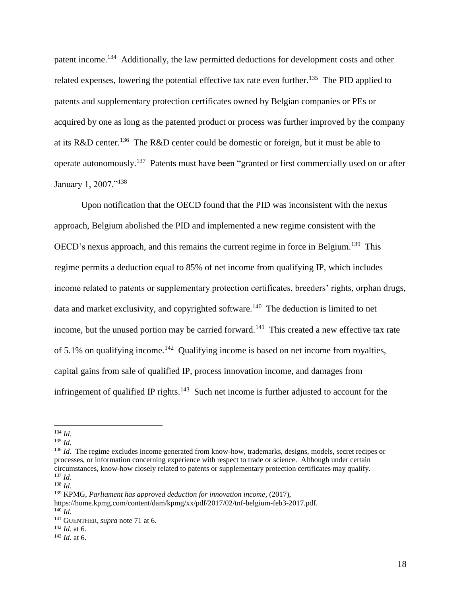patent income.<sup>134</sup> Additionally, the law permitted deductions for development costs and other related expenses, lowering the potential effective tax rate even further.<sup>135</sup> The PID applied to patents and supplementary protection certificates owned by Belgian companies or PEs or acquired by one as long as the patented product or process was further improved by the company at its R&D center.<sup>136</sup> The R&D center could be domestic or foreign, but it must be able to operate autonomously.<sup>137</sup> Patents must have been "granted or first commercially used on or after January 1, 2007."<sup>138</sup>

Upon notification that the OECD found that the PID was inconsistent with the nexus approach, Belgium abolished the PID and implemented a new regime consistent with the OECD's nexus approach, and this remains the current regime in force in Belgium.<sup>139</sup> This regime permits a deduction equal to 85% of net income from qualifying IP, which includes income related to patents or supplementary protection certificates, breeders' rights, orphan drugs, data and market exclusivity, and copyrighted software.<sup>140</sup> The deduction is limited to net income, but the unused portion may be carried forward.<sup>141</sup> This created a new effective tax rate of 5.1% on qualifying income.<sup>142</sup> Qualifying income is based on net income from royalties, capital gains from sale of qualified IP, process innovation income, and damages from infringement of qualified IP rights.<sup>143</sup> Such net income is further adjusted to account for the

<sup>143</sup> *Id.* at 6.

 $\overline{a}$ <sup>134</sup> *Id.*

<sup>135</sup> *Id.*

<sup>&</sup>lt;sup>136</sup> *Id.* The regime excludes income generated from know-how, trademarks, designs, models, secret recipes or processes, or information concerning experience with respect to trade or science. Although under certain circumstances, know-how closely related to patents or supplementary protection certificates may qualify. <sup>137</sup> *Id.*

<sup>138</sup> *Id.*

<sup>139</sup> KPMG, *Parliament has approved deduction for innovation income*, (2017),

https://home.kpmg.com/content/dam/kpmg/xx/pdf/2017/02/tnf-belgium-feb3-2017.pdf. <sup>140</sup> *Id.*

<sup>141</sup> GUENTHER, *supra* note 71 at 6.

<sup>142</sup> *Id.* at 6.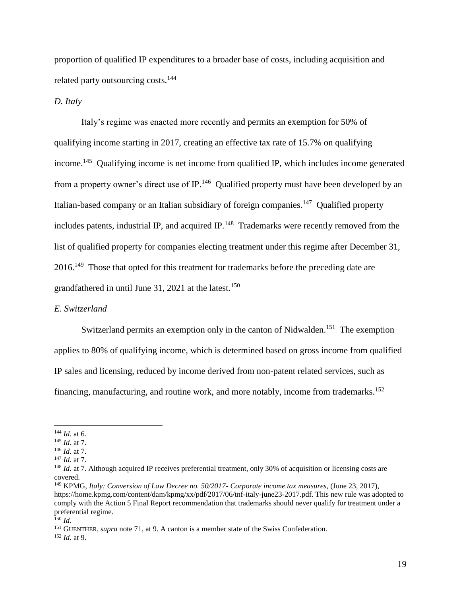proportion of qualified IP expenditures to a broader base of costs, including acquisition and related party outsourcing costs.<sup>144</sup>

## *D. Italy*

Italy's regime was enacted more recently and permits an exemption for 50% of qualifying income starting in 2017, creating an effective tax rate of 15.7% on qualifying income.<sup>145</sup> Qualifying income is net income from qualified IP, which includes income generated from a property owner's direct use of IP.<sup>146</sup> Qualified property must have been developed by an Italian-based company or an Italian subsidiary of foreign companies.<sup>147</sup> Qualified property includes patents, industrial IP, and acquired IP.<sup>148</sup> Trademarks were recently removed from the list of qualified property for companies electing treatment under this regime after December 31, 2016.<sup>149</sup> Those that opted for this treatment for trademarks before the preceding date are grandfathered in until June 31, 2021 at the latest.<sup>150</sup>

## *E. Switzerland*

Switzerland permits an exemption only in the canton of Nidwalden.<sup>151</sup> The exemption applies to 80% of qualifying income, which is determined based on gross income from qualified IP sales and licensing, reduced by income derived from non-patent related services, such as financing, manufacturing, and routine work, and more notably, income from trademarks.<sup>152</sup>

 $\overline{a}$ 

<sup>151</sup> GUENTHER, *supra* note 71, at 9. A canton is a member state of the Swiss Confederation.

<sup>152</sup> *Id.* at 9.

<sup>144</sup> *Id.* at 6.

<sup>145</sup> *Id.* at 7.

<sup>146</sup> *Id.* at 7.

<sup>147</sup> *Id.* at 7.

<sup>&</sup>lt;sup>148</sup> *Id.* at 7. Although acquired IP receives preferential treatment, only 30% of acquisition or licensing costs are covered.

<sup>149</sup> KPMG, *Italy: Conversion of Law Decree no. 50/2017- Corporate income tax measures*, (June 23, 2017), https://home.kpmg.com/content/dam/kpmg/xx/pdf/2017/06/tnf-italy-june23-2017.pdf. This new rule was adopted to comply with the Action 5 Final Report recommendation that trademarks should never qualify for treatment under a preferential regime.

 $^{150}$  *Id.*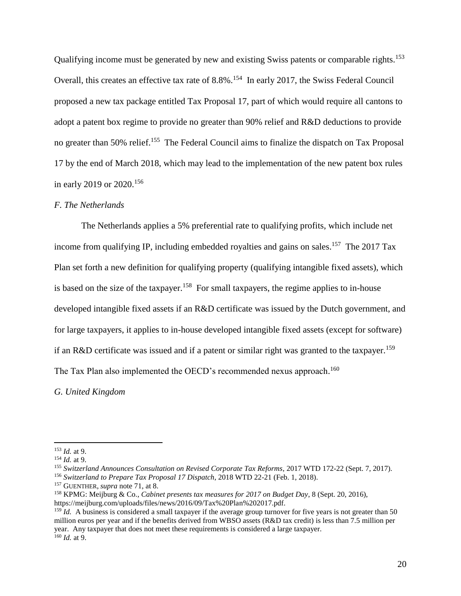Qualifying income must be generated by new and existing Swiss patents or comparable rights.<sup>153</sup> Overall, this creates an effective tax rate of 8.8%.<sup>154</sup> In early 2017, the Swiss Federal Council proposed a new tax package entitled Tax Proposal 17, part of which would require all cantons to adopt a patent box regime to provide no greater than 90% relief and R&D deductions to provide no greater than 50% relief.<sup>155</sup> The Federal Council aims to finalize the dispatch on Tax Proposal 17 by the end of March 2018, which may lead to the implementation of the new patent box rules in early 2019 or 2020.<sup>156</sup>

#### *F. The Netherlands*

The Netherlands applies a 5% preferential rate to qualifying profits, which include net income from qualifying IP, including embedded royalties and gains on sales.<sup>157</sup> The 2017 Tax Plan set forth a new definition for qualifying property (qualifying intangible fixed assets), which is based on the size of the taxpayer.<sup>158</sup> For small taxpayers, the regime applies to in-house developed intangible fixed assets if an R&D certificate was issued by the Dutch government, and for large taxpayers, it applies to in-house developed intangible fixed assets (except for software) if an R&D certificate was issued and if a patent or similar right was granted to the taxpayer.<sup>159</sup> The Tax Plan also implemented the OECD's recommended nexus approach.<sup>160</sup>

*G. United Kingdom*

<sup>153</sup> *Id.* at 9.

<sup>154</sup> *Id.* at 9.

<sup>155</sup> *Switzerland Announces Consultation on Revised Corporate Tax Reforms*, 2017 WTD 172-22 (Sept. 7, 2017).

<sup>156</sup> *Switzerland to Prepare Tax Proposal 17 Dispatch*, 2018 WTD 22-21 (Feb. 1, 2018).

<sup>157</sup> GUENTHER, *supra* note 71, at 8.

<sup>158</sup> KPMG: Meijburg & Co., *Cabinet presents tax measures for 2017 on Budget Day*, 8 (Sept. 20, 2016), https://meijburg.com/uploads/files/news/2016/09/Tax%20Plan%202017.pdf.

<sup>&</sup>lt;sup>159</sup> *Id.* A business is considered a small taxpayer if the average group turnover for five years is not greater than 50 million euros per year and if the benefits derived from WBSO assets (R&D tax credit) is less than 7.5 million per year. Any taxpayer that does not meet these requirements is considered a large taxpayer.  $160$  *Id.* at 9.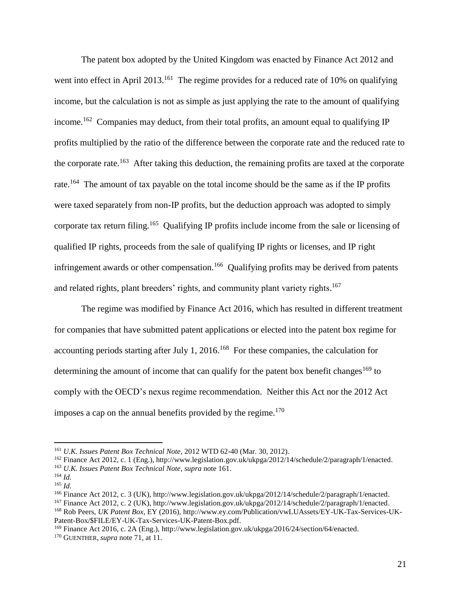The patent box adopted by the United Kingdom was enacted by Finance Act 2012 and went into effect in April 2013.<sup>161</sup> The regime provides for a reduced rate of 10% on qualifying income, but the calculation is not as simple as just applying the rate to the amount of qualifying income.<sup>162</sup> Companies may deduct, from their total profits, an amount equal to qualifying IP profits multiplied by the ratio of the difference between the corporate rate and the reduced rate to the corporate rate.<sup>163</sup> After taking this deduction, the remaining profits are taxed at the corporate rate.<sup>164</sup> The amount of tax payable on the total income should be the same as if the IP profits were taxed separately from non-IP profits, but the deduction approach was adopted to simply corporate tax return filing.<sup>165</sup> Qualifying IP profits include income from the sale or licensing of qualified IP rights, proceeds from the sale of qualifying IP rights or licenses, and IP right infringement awards or other compensation.<sup>166</sup> Qualifying profits may be derived from patents and related rights, plant breeders' rights, and community plant variety rights.<sup>167</sup>

The regime was modified by Finance Act 2016, which has resulted in different treatment for companies that have submitted patent applications or elected into the patent box regime for accounting periods starting after July 1, 2016.<sup>168</sup> For these companies, the calculation for determining the amount of income that can qualify for the patent box benefit changes<sup>169</sup> to comply with the OECD's nexus regime recommendation. Neither this Act nor the 2012 Act imposes a cap on the annual benefits provided by the regime. $170$ 

<sup>161</sup> *U.K. Issues Patent Box Technical Note*, 2012 WTD 62-40 (Mar. 30, 2012).

<sup>162</sup> Finance Act 2012, c. 1 (Eng.), http://www.legislation.gov.uk/ukpga/2012/14/schedule/2/paragraph/1/enacted.

<sup>163</sup> *U.K. Issues Patent Box Technical Note*, *supra* note 161.

<sup>164</sup> *Id.*

<sup>165</sup> *Id.*

<sup>166</sup> Finance Act 2012, c. 3 (UK), http://www.legislation.gov.uk/ukpga/2012/14/schedule/2/paragraph/1/enacted.

<sup>167</sup> Finance Act 2012, c. 2 (UK), http://www.legislation.gov.uk/ukpga/2012/14/schedule/2/paragraph/1/enacted.

<sup>168</sup> Rob Peers, *UK Patent Box*, EY (2016), http://www.ey.com/Publication/vwLUAssets/EY-UK-Tax-Services-UK-Patent-Box/\$FILE/EY-UK-Tax-Services-UK-Patent-Box.pdf.

<sup>169</sup> Finance Act 2016, c. 2A (Eng.), http://www.legislation.gov.uk/ukpga/2016/24/section/64/enacted.

<sup>170</sup> GUENTHER, *supra* note 71, at 11.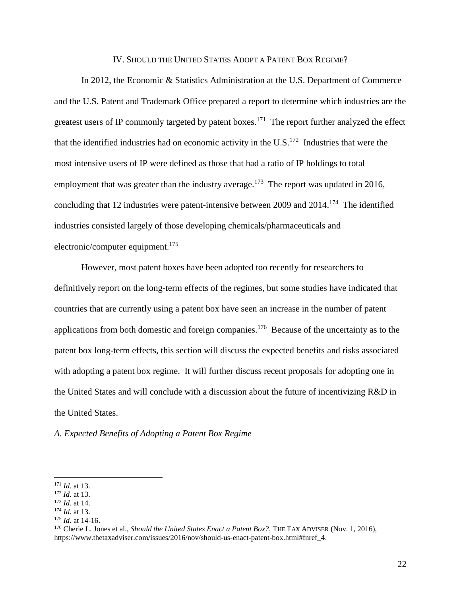#### IV. SHOULD THE UNITED STATES ADOPT A PATENT BOX REGIME?

In 2012, the Economic & Statistics Administration at the U.S. Department of Commerce and the U.S. Patent and Trademark Office prepared a report to determine which industries are the greatest users of IP commonly targeted by patent boxes.<sup>171</sup> The report further analyzed the effect that the identified industries had on economic activity in the U.S. $<sup>172</sup>$  Industries that were the</sup> most intensive users of IP were defined as those that had a ratio of IP holdings to total employment that was greater than the industry average.<sup>173</sup> The report was updated in 2016, concluding that 12 industries were patent-intensive between 2009 and  $2014$ .<sup>174</sup> The identified industries consisted largely of those developing chemicals/pharmaceuticals and electronic/computer equipment.<sup>175</sup>

However, most patent boxes have been adopted too recently for researchers to definitively report on the long-term effects of the regimes, but some studies have indicated that countries that are currently using a patent box have seen an increase in the number of patent applications from both domestic and foreign companies.<sup>176</sup> Because of the uncertainty as to the patent box long-term effects, this section will discuss the expected benefits and risks associated with adopting a patent box regime. It will further discuss recent proposals for adopting one in the United States and will conclude with a discussion about the future of incentivizing R&D in the United States.

*A. Expected Benefits of Adopting a Patent Box Regime*

<sup>171</sup> *Id.* at 13.

<sup>172</sup> *Id.* at 13.

<sup>173</sup> *Id.* at 14.

<sup>174</sup> *Id.* at 13.

<sup>175</sup> *Id.* at 14-16.

<sup>176</sup> Cherie L. Jones et al., *Should the United States Enact a Patent Box?*, THE TAX ADVISER (Nov. 1, 2016), https://www.thetaxadviser.com/issues/2016/nov/should-us-enact-patent-box.html#fnref\_4.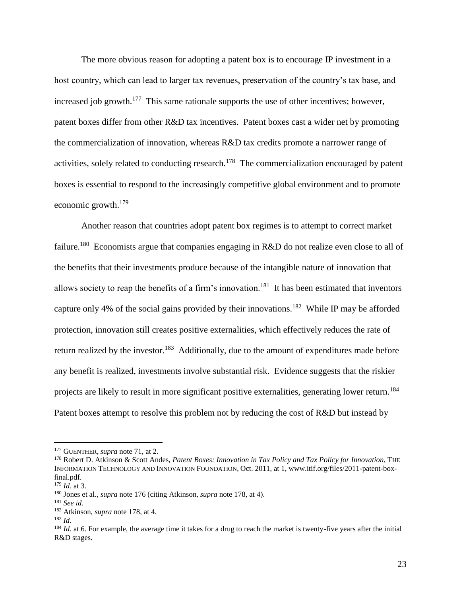The more obvious reason for adopting a patent box is to encourage IP investment in a host country, which can lead to larger tax revenues, preservation of the country's tax base, and increased job growth.<sup>177</sup> This same rationale supports the use of other incentives; however, patent boxes differ from other R&D tax incentives. Patent boxes cast a wider net by promoting the commercialization of innovation, whereas R&D tax credits promote a narrower range of activities, solely related to conducting research.<sup>178</sup> The commercialization encouraged by patent boxes is essential to respond to the increasingly competitive global environment and to promote economic growth.<sup>179</sup>

Another reason that countries adopt patent box regimes is to attempt to correct market failure.<sup>180</sup> Economists argue that companies engaging in R&D do not realize even close to all of the benefits that their investments produce because of the intangible nature of innovation that allows society to reap the benefits of a firm's innovation.<sup>181</sup> It has been estimated that inventors capture only 4% of the social gains provided by their innovations.<sup>182</sup> While IP may be afforded protection, innovation still creates positive externalities, which effectively reduces the rate of return realized by the investor.<sup>183</sup> Additionally, due to the amount of expenditures made before any benefit is realized, investments involve substantial risk. Evidence suggests that the riskier projects are likely to result in more significant positive externalities, generating lower return.<sup>184</sup> Patent boxes attempt to resolve this problem not by reducing the cost of R&D but instead by

<sup>&</sup>lt;sup>177</sup> GUENTHER, *supra* note 71, at 2.

<sup>178</sup> Robert D. Atkinson & Scott Andes, *Patent Boxes: Innovation in Tax Policy and Tax Policy for Innovation*, THE INFORMATION TECHNOLOGY AND INNOVATION FOUNDATION, Oct. 2011, at 1, www.itif.org/files/2011-patent-boxfinal.pdf.

<sup>179</sup> *Id.* at 3.

<sup>180</sup> Jones et al., *supra* note 176 (citing Atkinson, *supra* note 178, at 4).

<sup>181</sup> *See id.*

<sup>182</sup> Atkinson, *supra* note 178, at 4.

<sup>183</sup> *Id.*

<sup>&</sup>lt;sup>184</sup> *Id.* at 6. For example, the average time it takes for a drug to reach the market is twenty-five years after the initial R&D stages.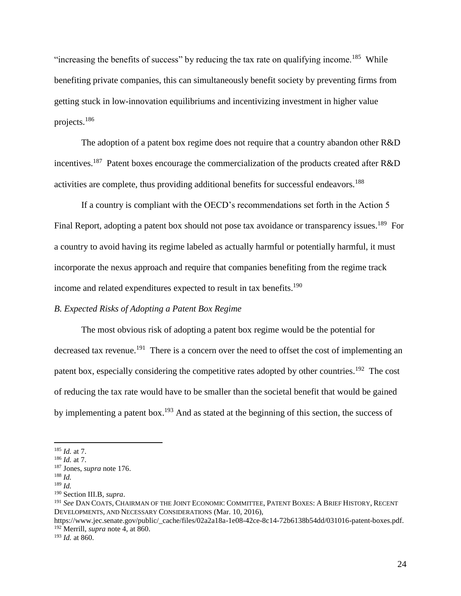"increasing the benefits of success" by reducing the tax rate on qualifying income.<sup>185</sup> While benefiting private companies, this can simultaneously benefit society by preventing firms from getting stuck in low-innovation equilibriums and incentivizing investment in higher value projects.<sup>186</sup>

The adoption of a patent box regime does not require that a country abandon other R&D incentives.<sup>187</sup> Patent boxes encourage the commercialization of the products created after  $R&D$ activities are complete, thus providing additional benefits for successful endeavors.<sup>188</sup>

If a country is compliant with the OECD's recommendations set forth in the Action 5 Final Report, adopting a patent box should not pose tax avoidance or transparency issues.<sup>189</sup> For a country to avoid having its regime labeled as actually harmful or potentially harmful, it must incorporate the nexus approach and require that companies benefiting from the regime track income and related expenditures expected to result in tax benefits.<sup>190</sup>

## *B. Expected Risks of Adopting a Patent Box Regime*

The most obvious risk of adopting a patent box regime would be the potential for decreased tax revenue.<sup>191</sup> There is a concern over the need to offset the cost of implementing an patent box, especially considering the competitive rates adopted by other countries.<sup>192</sup> The cost of reducing the tax rate would have to be smaller than the societal benefit that would be gained by implementing a patent box.<sup>193</sup> And as stated at the beginning of this section, the success of

<sup>185</sup> *Id.* at 7.

<sup>186</sup> *Id.* at 7.

<sup>187</sup> Jones, *supra* note 176.

<sup>188</sup> *Id.*

<sup>189</sup> *Id.*

<sup>190</sup> Section III.B, *supra*.

<sup>191</sup> *See* DAN COATS, CHAIRMAN OF THE JOINT ECONOMIC COMMITTEE, PATENT BOXES: A BRIEF HISTORY, RECENT DEVELOPMENTS, AND NECESSARY CONSIDERATIONS (Mar. 10, 2016),

https://www.jec.senate.gov/public/\_cache/files/02a2a18a-1e08-42ce-8c14-72b6138b54dd/031016-patent-boxes.pdf. <sup>192</sup> Merrill, *supra* note 4, at 860.

<sup>193</sup> *Id.* at 860.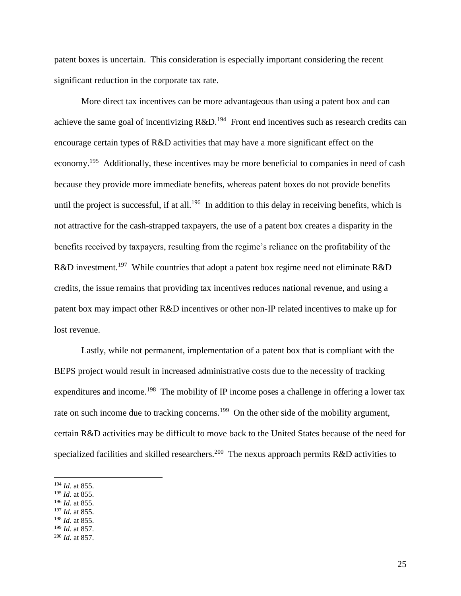patent boxes is uncertain. This consideration is especially important considering the recent significant reduction in the corporate tax rate.

More direct tax incentives can be more advantageous than using a patent box and can achieve the same goal of incentivizing  $R&D$ .<sup>194</sup> Front end incentives such as research credits can encourage certain types of R&D activities that may have a more significant effect on the economy.<sup>195</sup> Additionally, these incentives may be more beneficial to companies in need of cash because they provide more immediate benefits, whereas patent boxes do not provide benefits until the project is successful, if at all.<sup>196</sup> In addition to this delay in receiving benefits, which is not attractive for the cash-strapped taxpayers, the use of a patent box creates a disparity in the benefits received by taxpayers, resulting from the regime's reliance on the profitability of the R&D investment.<sup>197</sup> While countries that adopt a patent box regime need not eliminate R&D credits, the issue remains that providing tax incentives reduces national revenue, and using a patent box may impact other R&D incentives or other non-IP related incentives to make up for lost revenue.

Lastly, while not permanent, implementation of a patent box that is compliant with the BEPS project would result in increased administrative costs due to the necessity of tracking expenditures and income.<sup>198</sup> The mobility of IP income poses a challenge in offering a lower tax rate on such income due to tracking concerns.<sup>199</sup> On the other side of the mobility argument, certain R&D activities may be difficult to move back to the United States because of the need for specialized facilities and skilled researchers.<sup>200</sup> The nexus approach permits R&D activities to

- <sup>195</sup> *Id.* at 855.
- <sup>196</sup> *Id.* at 855.
- <sup>197</sup> *Id.* at 855.
- <sup>198</sup> *Id.* at 855.
- <sup>199</sup> *Id.* at 857.
- <sup>200</sup> *Id.* at 857.

<sup>194</sup> *Id.* at 855.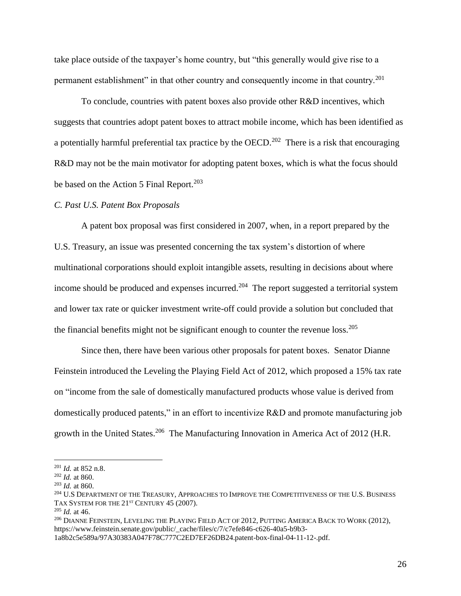take place outside of the taxpayer's home country, but "this generally would give rise to a permanent establishment" in that other country and consequently income in that country.<sup>201</sup>

To conclude, countries with patent boxes also provide other R&D incentives, which suggests that countries adopt patent boxes to attract mobile income, which has been identified as a potentially harmful preferential tax practice by the OECD.<sup>202</sup> There is a risk that encouraging R&D may not be the main motivator for adopting patent boxes, which is what the focus should be based on the Action 5 Final Report.<sup>203</sup>

### *C. Past U.S. Patent Box Proposals*

A patent box proposal was first considered in 2007, when, in a report prepared by the U.S. Treasury, an issue was presented concerning the tax system's distortion of where multinational corporations should exploit intangible assets, resulting in decisions about where income should be produced and expenses incurred.<sup>204</sup> The report suggested a territorial system and lower tax rate or quicker investment write-off could provide a solution but concluded that the financial benefits might not be significant enough to counter the revenue  $loss.^{205}$ 

Since then, there have been various other proposals for patent boxes. Senator Dianne Feinstein introduced the Leveling the Playing Field Act of 2012, which proposed a 15% tax rate on "income from the sale of domestically manufactured products whose value is derived from domestically produced patents," in an effort to incentivize R&D and promote manufacturing job growth in the United States.<sup>206</sup> The Manufacturing Innovation in America Act of 2012 (H.R.

<sup>201</sup> *Id.* at 852 n.8.

<sup>202</sup> *Id.* at 860.

<sup>203</sup> *Id.* at 860.

<sup>&</sup>lt;sup>204</sup> U.S DEPARTMENT OF THE TREASURY, APPROACHES TO IMPROVE THE COMPETITIVENESS OF THE U.S. BUSINESS TAX SYSTEM FOR THE 21<sup>ST</sup> CENTURY 45 (2007).

<sup>205</sup> *Id.* at 46.

<sup>&</sup>lt;sup>206</sup> DIANNE FEINSTEIN, LEVELING THE PLAYING FIELD ACT OF 2012, PUTTING AMERICA BACK TO WORK (2012), https://www.feinstein.senate.gov/public/\_cache/files/c/7/c7efe846-c626-40a5-b9b3-

<sup>1</sup>a8b2c5e589a/97A30383A047F78C777C2ED7EF26DB24.patent-box-final-04-11-12-.pdf.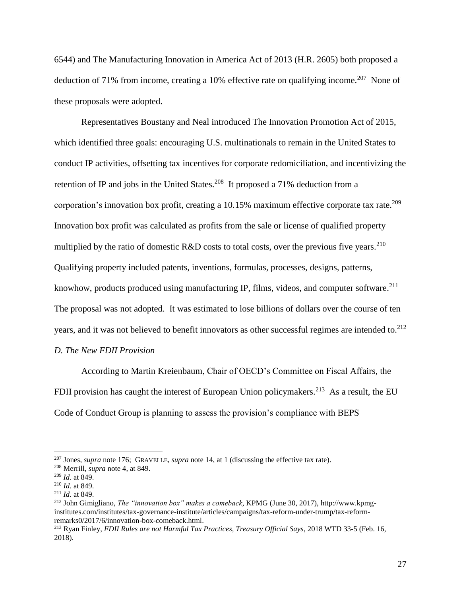6544) and The Manufacturing Innovation in America Act of 2013 (H.R. 2605) both proposed a deduction of 71% from income, creating a 10% effective rate on qualifying income.<sup>207</sup> None of these proposals were adopted.

Representatives Boustany and Neal introduced The Innovation Promotion Act of 2015, which identified three goals: encouraging U.S. multinationals to remain in the United States to conduct IP activities, offsetting tax incentives for corporate redomiciliation, and incentivizing the retention of IP and jobs in the United States.<sup>208</sup> It proposed a 71% deduction from a corporation's innovation box profit, creating a 10.15% maximum effective corporate tax rate.<sup>209</sup> Innovation box profit was calculated as profits from the sale or license of qualified property multiplied by the ratio of domestic R&D costs to total costs, over the previous five years.<sup>210</sup> Qualifying property included patents, inventions, formulas, processes, designs, patterns, knowhow, products produced using manufacturing IP, films, videos, and computer software.<sup>211</sup> The proposal was not adopted. It was estimated to lose billions of dollars over the course of ten years, and it was not believed to benefit innovators as other successful regimes are intended to.<sup>212</sup>

## *D. The New FDII Provision*

According to Martin Kreienbaum, Chair of OECD's Committee on Fiscal Affairs, the FDII provision has caught the interest of European Union policymakers.<sup>213</sup> As a result, the EU Code of Conduct Group is planning to assess the provision's compliance with BEPS

<sup>207</sup> Jones, *supra* note 176; GRAVELLE, *supra* note 14, at 1 (discussing the effective tax rate).

<sup>208</sup> Merrill, *supra* note 4, at 849.

<sup>209</sup> *Id.* at 849.

<sup>210</sup> *Id.* at 849.

<sup>211</sup> *Id.* at 849.

<sup>212</sup> John Gimigliano, *The "innovation box" makes a comeback*, KPMG (June 30, 2017), http://www.kpmginstitutes.com/institutes/tax-governance-institute/articles/campaigns/tax-reform-under-trump/tax-reformremarks0/2017/6/innovation-box-comeback.html.

<sup>213</sup> Ryan Finley, *FDII Rules are not Harmful Tax Practices, Treasury Official Says*, 2018 WTD 33-5 (Feb. 16, 2018).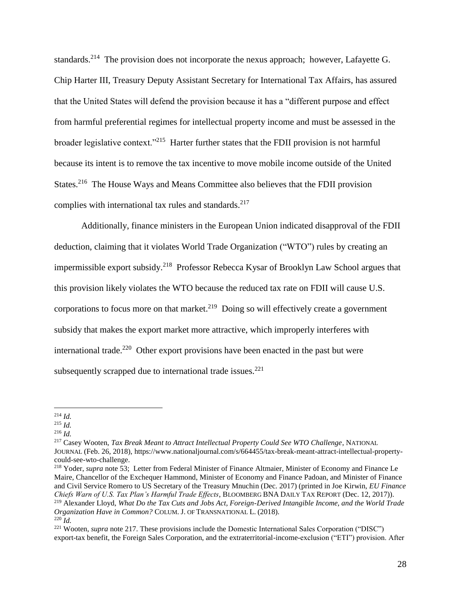standards.<sup>214</sup> The provision does not incorporate the nexus approach; however, Lafayette G. Chip Harter III, Treasury Deputy Assistant Secretary for International Tax Affairs, has assured that the United States will defend the provision because it has a "different purpose and effect from harmful preferential regimes for intellectual property income and must be assessed in the broader legislative context."<sup>215</sup> Harter further states that the FDII provision is not harmful because its intent is to remove the tax incentive to move mobile income outside of the United States.<sup>216</sup> The House Ways and Means Committee also believes that the FDII provision complies with international tax rules and standards.<sup>217</sup>

Additionally, finance ministers in the European Union indicated disapproval of the FDII deduction, claiming that it violates World Trade Organization ("WTO") rules by creating an impermissible export subsidy.<sup>218</sup> Professor Rebecca Kysar of Brooklyn Law School argues that this provision likely violates the WTO because the reduced tax rate on FDII will cause U.S. corporations to focus more on that market. $219$  Doing so will effectively create a government subsidy that makes the export market more attractive, which improperly interferes with international trade.<sup>220</sup> Other export provisions have been enacted in the past but were subsequently scrapped due to international trade issues. $^{221}$ 

<sup>216</sup> *Id.*

<sup>217</sup> Casey Wooten, *Tax Break Meant to Attract Intellectual Property Could See WTO Challenge*, NATIONAL JOURNAL (Feb. 26, 2018), https://www.nationaljournal.com/s/664455/tax-break-meant-attract-intellectual-propertycould-see-wto-challenge.

<sup>218</sup> Yoder, *supra* note 53; Letter from Federal Minister of Finance Altmaier, Minister of Economy and Finance Le Maire, Chancellor of the Exchequer Hammond, Minister of Economy and Finance Padoan, and Minister of Finance and Civil Service Romero to US Secretary of the Treasury Mnuchin (Dec. 2017) (printed in Joe Kirwin, *EU Finance Chiefs Warn of U.S. Tax Plan's Harmful Trade Effects*, BLOOMBERG BNA DAILY TAX REPORT (Dec. 12, 2017)). <sup>219</sup> Alexander Lloyd, *What Do the Tax Cuts and Jobs Act, Foreign-Derived Intangible Income, and the World Trade Organization Have in Common?* COLUM. J. OF TRANSNATIONAL L. (2018).

 $\overline{a}$ <sup>214</sup> *Id.*

<sup>215</sup> *Id.*

<sup>220</sup> *Id.*

<sup>&</sup>lt;sup>221</sup> Wooten, *supra* note 217. These provisions include the Domestic International Sales Corporation ("DISC") export-tax benefit, the Foreign Sales Corporation, and the extraterritorial-income-exclusion ("ETI") provision. After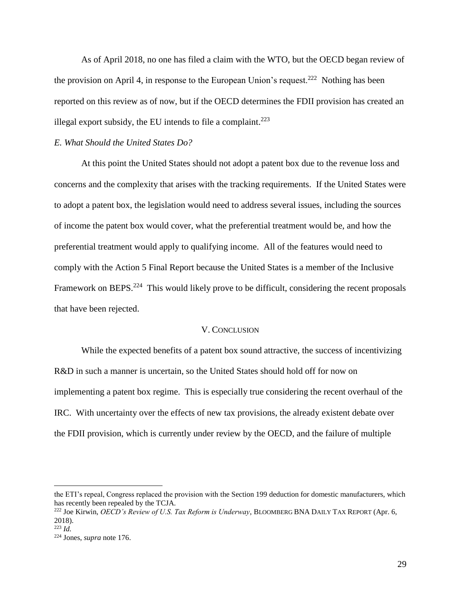As of April 2018, no one has filed a claim with the WTO, but the OECD began review of the provision on April 4, in response to the European Union's request.<sup>222</sup> Nothing has been reported on this review as of now, but if the OECD determines the FDII provision has created an illegal export subsidy, the EU intends to file a complaint. $^{223}$ 

#### *E. What Should the United States Do?*

At this point the United States should not adopt a patent box due to the revenue loss and concerns and the complexity that arises with the tracking requirements. If the United States were to adopt a patent box, the legislation would need to address several issues, including the sources of income the patent box would cover, what the preferential treatment would be, and how the preferential treatment would apply to qualifying income. All of the features would need to comply with the Action 5 Final Report because the United States is a member of the Inclusive Framework on BEPS.<sup>224</sup> This would likely prove to be difficult, considering the recent proposals that have been rejected.

#### V. CONCLUSION

While the expected benefits of a patent box sound attractive, the success of incentivizing R&D in such a manner is uncertain, so the United States should hold off for now on implementing a patent box regime. This is especially true considering the recent overhaul of the IRC. With uncertainty over the effects of new tax provisions, the already existent debate over the FDII provision, which is currently under review by the OECD, and the failure of multiple

the ETI's repeal, Congress replaced the provision with the Section 199 deduction for domestic manufacturers, which has recently been repealed by the TCJA.

<sup>222</sup> Joe Kirwin, *OECD's Review of U.S. Tax Reform is Underway*, BLOOMBERG BNA DAILY TAX REPORT (Apr. 6, 2018).

<sup>223</sup> *Id.*

<sup>224</sup> Jones, *supra* note 176.